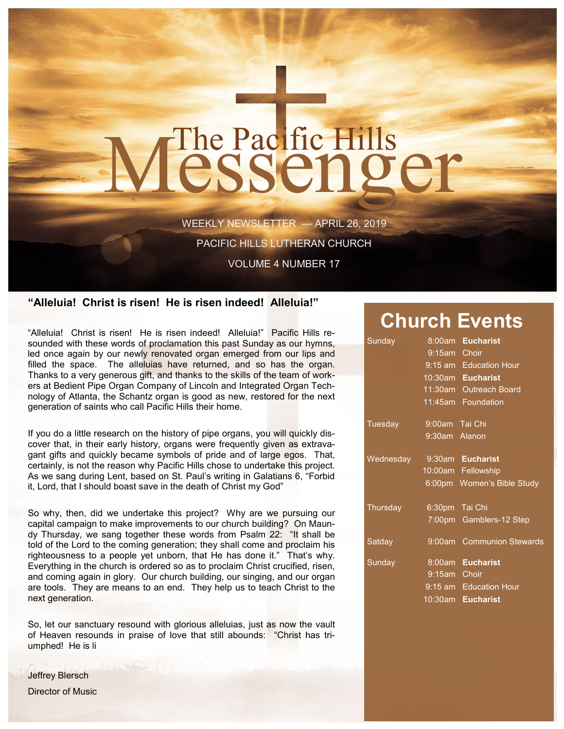# The Pacific Hills<br>CSSCNOCT

WEEKLY NEWSLETTER — APRIL 26, 2019

PACIFIC HILLS LUTHERAN CHURCH

VOLUME 4 NUMBER 17

## **"Alleluia! Christ is risen! He is risen indeed! Alleluia!"**

"Alleluia! Christ is risen! He is risen indeed! Alleluia!" Pacific Hills resounded with these words of proclamation this past Sunday as our hymns, led once again by our newly renovated organ emerged from our lips and filled the space. The alleluias have returned, and so has the organ. Thanks to a very generous gift, and thanks to the skills of the team of workers at Bedient Pipe Organ Company of Lincoln and Integrated Organ Technology of Atlanta, the Schantz organ is good as new, restored for the next generation of saints who call Pacific Hills their home.

If you do a little research on the history of pipe organs, you will quickly discover that, in their early history, organs were frequently given as extravagant gifts and quickly became symbols of pride and of large egos. That, certainly, is not the reason why Pacific Hills chose to undertake this project. As we sang during Lent, based on St. Paul's writing in Galatians 6, "Forbid it, Lord, that I should boast save in the death of Christ my God"

So why, then, did we undertake this project? Why are we pursuing our capital campaign to make improvements to our church building? On Maundy Thursday, we sang together these words from Psalm 22: "It shall be told of the Lord to the coming generation; they shall come and proclaim his righteousness to a people yet unborn, that He has done it." That's why. Everything in the church is ordered so as to proclaim Christ crucified, risen, and coming again in glory. Our church building, our singing, and our organ are tools. They are means to an end. They help us to teach Christ to the next generation.

So, let our sanctuary resound with glorious alleluias, just as now the vault of Heaven resounds in praise of love that still abounds: "Christ has triumphed! He is li

Jeffrey Blersch Director of Music

# **Church Events**

| Sunday    | 8:00am         | <b>Eucharist</b>           |
|-----------|----------------|----------------------------|
|           | 9:15am Choir   |                            |
|           |                | 9:15 am Education Hour     |
|           |                | 10:30am Eucharist          |
|           |                | 11:30am Outreach Board     |
|           |                | 11:45am Foundation         |
| Tuesday   | 9:00am Tai Chi |                            |
|           | 9:30am Alanon  |                            |
| Wednesday |                | 9:30am Eucharist           |
|           |                | 10:00am Fellowship         |
|           |                | 6:00pm Women's Bible Study |
| Thursday  |                | 6:30pm Tai Chi             |
|           |                | 7:00pm Gamblers-12 Step    |
| Satday    |                | 9:00am Communion Stewards  |
| Sunday    |                | 8:00am Eucharist           |
|           | 9:15am Choir   |                            |
|           |                | 9:15 am Education Hour     |
|           | $10:30$ am     | <b>Eucharist</b>           |